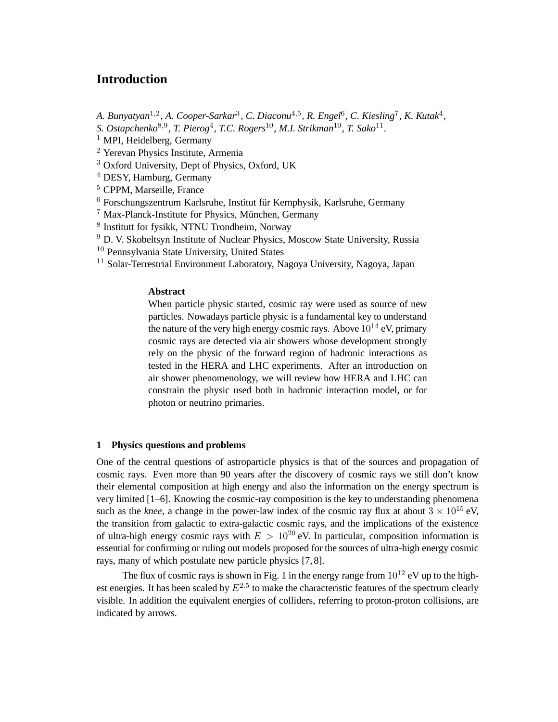# **Introduction**

- A. Bunyatyan<sup>1,2</sup>, A. Cooper-Sarkar<sup>3</sup>, C. Diaconu<sup>4,5</sup>, R. Engel<sup>6</sup>, C. Kiesling<sup>7</sup>, K. Kutak<sup>4</sup>,
- *S. Ostapchenko*<sup>8,9</sup>, *T. Pierog*<sup>4</sup>, *T.C. Rogers*<sup>10</sup>, *M.I. Strikman*<sup>10</sup>, *T. Sako*<sup>11</sup>.
- $<sup>1</sup>$  MPI, Heidelberg, Germany</sup>
- <sup>2</sup> Yerevan Physics Institute, Armenia
- <sup>3</sup> Oxford University, Dept of Physics, Oxford, UK
- <sup>4</sup> DESY, Hamburg, Germany
- <sup>5</sup> CPPM, Marseille, France
- $6$  Forschungszentrum Karlsruhe, Institut für Kernphysik, Karlsruhe, Germany
- $7$  Max-Planck-Institute for Physics, München, Germany
- 8 Institutt for fysikk, NTNU Trondheim, Norway
- <sup>9</sup> D. V. Skobeltsyn Institute of Nuclear Physics, Moscow State University, Russia
- <sup>10</sup> Pennsylvania State University, United States
- <sup>11</sup> Solar-Terrestrial Environment Laboratory, Nagoya University, Nagoya, Japan

## **Abstract**

When particle physic started, cosmic ray were used as source of new particles. Nowadays particle physic is a fundamental key to understand the nature of the very high energy cosmic rays. Above  $10^{14}$  eV, primary cosmic rays are detected via air showers whose development strongly rely on the physic of the forward region of hadronic interactions as tested in the HERA and LHC experiments. After an introduction on air shower phenomenology, we will review how HERA and LHC can constrain the physic used both in hadronic interaction model, or for photon or neutrino primaries.

#### **1 Physics questions and problems**

One of the central questions of astroparticle physics is that of the sources and propagation of cosmic rays. Even more than 90 years after the discovery of cosmic rays we still don't know their elemental composition at high energy and also the information on the energy spectrum is very limited [1–6]. Knowing the cosmic-ray composition is the key to understanding phenomena such as the *knee*, a change in the power-law index of the cosmic ray flux at about  $3 \times 10^{15}$  eV, the transition from galactic to extra-galactic cosmic rays, and the implications of the existence of ultra-high energy cosmic rays with  $E > 10^{20}$  eV. In particular, composition information is essential for confirming or ruling out models proposed for the sources of ultra-high energy cosmic rays, many of which postulate new particle physics [7, 8].

The flux of cosmic rays is shown in Fig. 1 in the energy range from  $10^{12}$  eV up to the highest energies. It has been scaled by  $E^{2.5}$  to make the characteristic features of the spectrum clearly visible. In addition the equivalent energies of colliders, referring to proton-proton collisions, are indicated by arrows.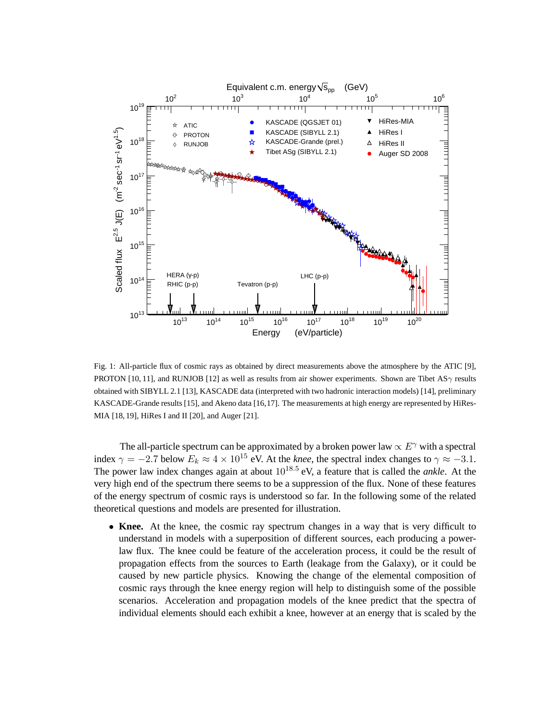

Fig. 1: All-particle flux of cosmic rays as obtained by direct measurements above the atmosphere by the ATIC [9], PROTON [10, 11], and RUNJOB [12] as well as results from air shower experiments. Shown are Tibet AS $\gamma$  results obtained with SIBYLL 2.1 [13], KASCADE data (interpreted with two hadronic interaction models) [14], preliminary KASCADE-Grande results [15], and Akeno data [16,17]. The measurements at high energy are represented by HiRes-MIA [18, 19], HiRes I and II [20], and Auger [21].

The all-particle spectrum can be approximated by a broken power law  $\propto E^{\gamma}$  with a spectral index  $\gamma = -2.7$  below  $E_k \approx 4 \times 10^{15}$  eV. At the *knee*, the spectral index changes to  $\gamma \approx -3.1$ . The power law index changes again at about  $10^{18.5}$  eV, a feature that is called the *ankle*. At the very high end of the spectrum there seems to be a suppression of the flux. None of these features of the energy spectrum of cosmic rays is understood so far. In the following some of the related theoretical questions and models are presented for illustration.

• Knee. At the knee, the cosmic ray spectrum changes in a way that is very difficult to understand in models with a superposition of different sources, each producing a powerlaw flux. The knee could be feature of the acceleration process, it could be the result of propagation effects from the sources to Earth (leakage from the Galaxy), or it could be caused by new particle physics. Knowing the change of the elemental composition of cosmic rays through the knee energy region will help to distinguish some of the possible scenarios. Acceleration and propagation models of the knee predict that the spectra of individual elements should each exhibit a knee, however at an energy that is scaled by the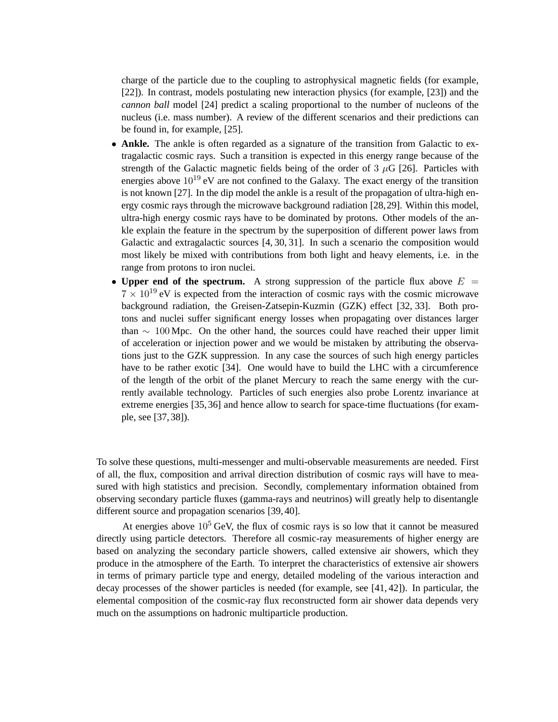charge of the particle due to the coupling to astrophysical magnetic fields (for example, [22]). In contrast, models postulating new interaction physics (for example, [23]) and the *cannon ball* model [24] predict a scaling proportional to the number of nucleons of the nucleus (i.e. mass number). A review of the different scenarios and their predictions can be found in, for example, [25].

- **Ankle.** The ankle is often regarded as a signature of the transition from Galactic to extragalactic cosmic rays. Such a transition is expected in this energy range because of the strength of the Galactic magnetic fields being of the order of  $3 \mu$ G [26]. Particles with energies above  $10^{19}$  eV are not confined to the Galaxy. The exact energy of the transition is not known [27]. In the dip model the ankle is a result of the propagation of ultra-high energy cosmic rays through the microwave background radiation [28,29]. Within this model, ultra-high energy cosmic rays have to be dominated by protons. Other models of the ankle explain the feature in the spectrum by the superposition of different power laws from Galactic and extragalactic sources [4, 30, 31]. In such a scenario the composition would most likely be mixed with contributions from both light and heavy elements, i.e. in the range from protons to iron nuclei.
- **Upper end of the spectrum.** A strong suppression of the particle flux above  $E =$  $7 \times 10^{19}$  eV is expected from the interaction of cosmic rays with the cosmic microwave background radiation, the Greisen-Zatsepin-Kuzmin (GZK) effect [32, 33]. Both protons and nuclei suffer significant energy losses when propagating over distances larger than  $\sim 100$  Mpc. On the other hand, the sources could have reached their upper limit of acceleration or injection power and we would be mistaken by attributing the observations just to the GZK suppression. In any case the sources of such high energy particles have to be rather exotic [34]. One would have to build the LHC with a circumference of the length of the orbit of the planet Mercury to reach the same energy with the currently available technology. Particles of such energies also probe Lorentz invariance at extreme energies [35,36] and hence allow to search for space-time fluctuations (for example, see [37, 38]).

To solve these questions, multi-messenger and multi-observable measurements are needed. First of all, the flux, composition and arrival direction distribution of cosmic rays will have to measured with high statistics and precision. Secondly, complementary information obtained from observing secondary particle fluxes (gamma-rays and neutrinos) will greatly help to disentangle different source and propagation scenarios [39, 40].

At energies above  $10^5$  GeV, the flux of cosmic rays is so low that it cannot be measured directly using particle detectors. Therefore all cosmic-ray measurements of higher energy are based on analyzing the secondary particle showers, called extensive air showers, which they produce in the atmosphere of the Earth. To interpret the characteristics of extensive air showers in terms of primary particle type and energy, detailed modeling of the various interaction and decay processes of the shower particles is needed (for example, see [41, 42]). In particular, the elemental composition of the cosmic-ray flux reconstructed form air shower data depends very much on the assumptions on hadronic multiparticle production.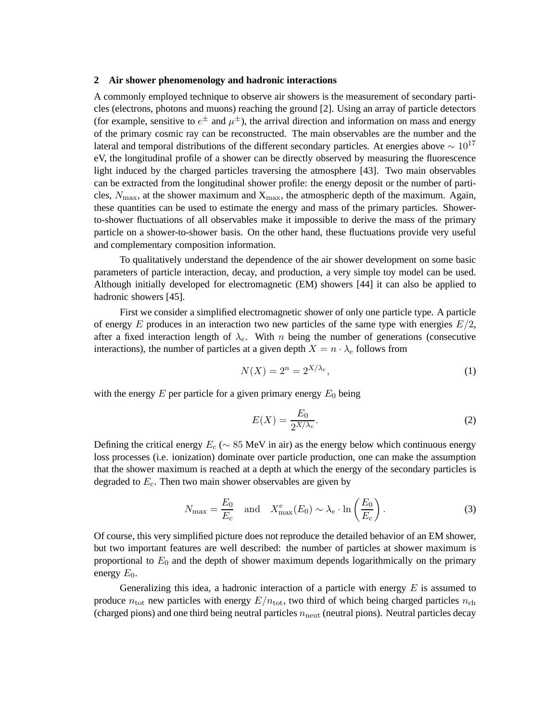#### **2 Air shower phenomenology and hadronic interactions**

A commonly employed technique to observe air showers is the measurement of secondary particles (electrons, photons and muons) reaching the ground [2]. Using an array of particle detectors (for example, sensitive to  $e^{\pm}$  and  $\mu^{\pm}$ ), the arrival direction and information on mass and energy of the primary cosmic ray can be reconstructed. The main observables are the number and the lateral and temporal distributions of the different secondary particles. At energies above  $\sim 10^{17}$ eV, the longitudinal profile of a shower can be directly observed by measuring the fluorescence light induced by the charged particles traversing the atmosphere [43]. Two main observables can be extracted from the longitudinal shower profile: the energy deposit or the number of particles,  $N_{\text{max}}$ , at the shower maximum and  $X_{\text{max}}$ , the atmospheric depth of the maximum. Again, these quantities can be used to estimate the energy and mass of the primary particles. Showerto-shower fluctuations of all observables make it impossible to derive the mass of the primary particle on a shower-to-shower basis. On the other hand, these fluctuations provide very useful and complementary composition information.

To qualitatively understand the dependence of the air shower development on some basic parameters of particle interaction, decay, and production, a very simple toy model can be used. Although initially developed for electromagnetic (EM) showers [44] it can also be applied to hadronic showers [45].

First we consider a simplified electromagnetic shower of only one particle type. A particle of energy E produces in an interaction two new particles of the same type with energies  $E/2$ , after a fixed interaction length of  $\lambda_e$ . With *n* being the number of generations (consecutive interactions), the number of particles at a given depth  $X = n \cdot \lambda_e$  follows from

$$
N(X) = 2^n = 2^{X/\lambda_e},\tag{1}
$$

with the energy  $E$  per particle for a given primary energy  $E_0$  being

$$
E(X) = \frac{E_0}{2^{X/\lambda_e}}.\tag{2}
$$

Defining the critical energy  $E_c$  ( $\sim 85$  MeV in air) as the energy below which continuous energy loss processes (i.e. ionization) dominate over particle production, one can make the assumption that the shower maximum is reached at a depth at which the energy of the secondary particles is degraded to  $E_c$ . Then two main shower observables are given by

$$
N_{\text{max}} = \frac{E_0}{E_c} \quad \text{and} \quad X_{\text{max}}^e(E_0) \sim \lambda_e \cdot \ln\left(\frac{E_0}{E_c}\right). \tag{3}
$$

Of course, this very simplified picture does not reproduce the detailed behavior of an EM shower, but two important features are well described: the number of particles at shower maximum is proportional to  $E_0$  and the depth of shower maximum depends logarithmically on the primary energy  $E_0$ .

Generalizing this idea, a hadronic interaction of a particle with energy  $E$  is assumed to produce  $n_{\text{tot}}$  new particles with energy  $E/n_{\text{tot}}$ , two third of which being charged particles  $n_{\text{ch}}$ (charged pions) and one third being neutral particles  $n_{\text{neut}}$  (neutral pions). Neutral particles decay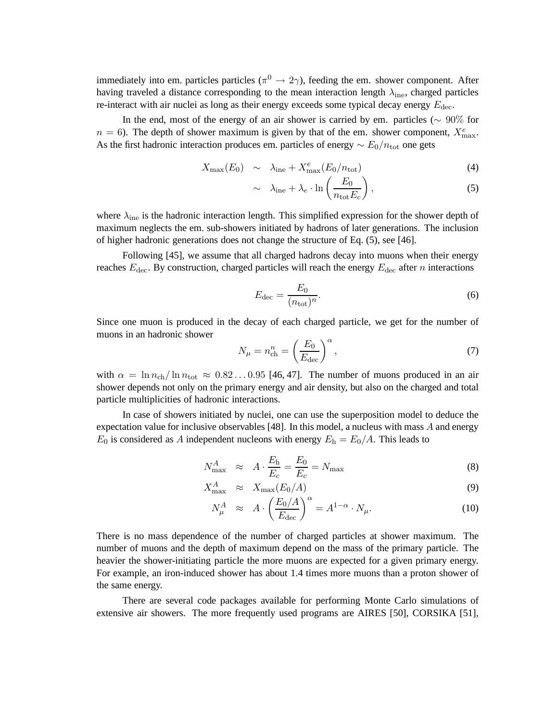immediately into em. particles particles ( $\pi$ <sup>0</sup>  $\rightarrow$  2 $\gamma$ ), feeding the em. shower component. After having traveled a distance corresponding to the mean interaction length  $\lambda_{\text{ine}}$ , charged particles re-interact with air nuclei as long as their energy exceeds some typical decay energy  $E_{\text{dec}}$ .

In the end, most of the energy of an air shower is carried by em. particles ( $\sim 90\%$  for  $n = 6$ ). The depth of shower maximum is given by that of the em. shower component,  $X_{\text{max}}^e$ . As the first hadronic interaction produces em. particles of energy  $\sim E_0/n_{\text{tot}}$  one gets

$$
X_{\text{max}}(E_0) \sim \lambda_{\text{ine}} + X_{\text{max}}^e(E_0/n_{\text{tot}}) \tag{4}
$$

$$
\sim \lambda_{\text{ine}} + \lambda_e \cdot \ln\left(\frac{E_0}{n_{\text{tot}}E_c}\right),\tag{5}
$$

where  $\lambda_{\text{ine}}$  is the hadronic interaction length. This simplified expression for the shower depth of maximum neglects the em. sub-showers initiated by hadrons of later generations. The inclusion of higher hadronic generations does not change the structure of Eq. (5), see [46].

Following [45], we assume that all charged hadrons decay into muons when their energy reaches  $E_{\text{dec}}$ . By construction, charged particles will reach the energy  $E_{\text{dec}}$  after *n* interactions

$$
E_{\text{dec}} = \frac{E_0}{(n_{\text{tot}})^n}.\tag{6}
$$

Since one muon is produced in the decay of each charged particle, we get for the number of muons in an hadronic shower

$$
N_{\mu} = n_{\rm ch}^{n} = \left(\frac{E_{0}}{E_{\rm dec}}\right)^{\alpha},\tag{7}
$$

with  $\alpha = \ln n_{\text{ch}} / \ln n_{\text{tot}} \approx 0.82 \dots 0.95$  [46, 47]. The number of muons produced in an air shower depends not only on the primary energy and air density, but also on the charged and total particle multiplicities of hadronic interactions.

In case of showers initiated by nuclei, one can use the superposition model to deduce the expectation value for inclusive observables [48]. In this model, a nucleus with mass  $A$  and energy  $E_0$  is considered as A independent nucleons with energy  $E_h = E_0/A$ . This leads to

$$
N_{\text{max}}^A \approx A \cdot \frac{E_\text{h}}{E_c} = \frac{E_0}{E_c} = N_{\text{max}} \tag{8}
$$

$$
X_{\text{max}}^A \approx X_{\text{max}}(E_0/A) \tag{9}
$$

$$
N_{\mu}^{A} \approx A \cdot \left(\frac{E_0/A}{E_{\text{dec}}}\right)^{\alpha} = A^{1-\alpha} \cdot N_{\mu}.
$$
 (10)

There is no mass dependence of the number of charged particles at shower maximum. The number of muons and the depth of maximum depend on the mass of the primary particle. The heavier the shower-initiating particle the more muons are expected for a given primary energy. For example, an iron-induced shower has about 1.4 times more muons than a proton shower of the same energy.

There are several code packages available for performing Monte Carlo simulations of extensive air showers. The more frequently used programs are AIRES [50], CORSIKA [51],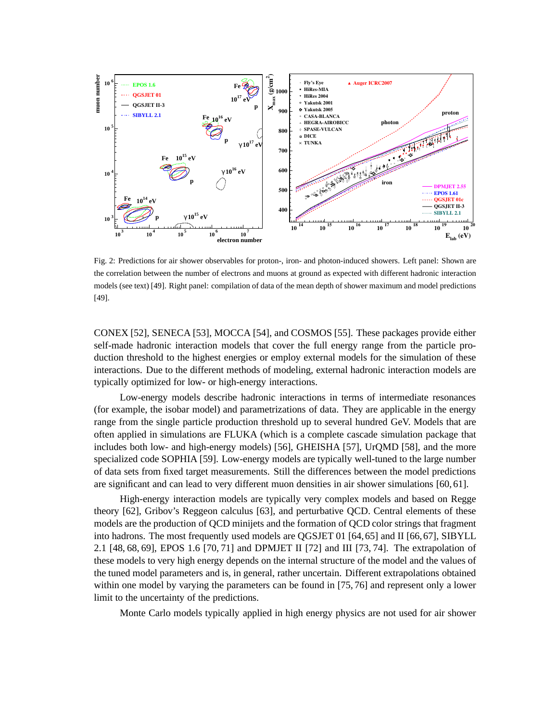

Fig. 2: Predictions for air shower observables for proton-, iron- and photon-induced showers. Left panel: Shown are the correlation between the number of electrons and muons at ground as expected with different hadronic interaction models (see text) [49]. Right panel: compilation of data of the mean depth of shower maximum and model predictions [49].

CONEX [52], SENECA [53], MOCCA [54], and COSMOS [55]. These packages provide either self-made hadronic interaction models that cover the full energy range from the particle production threshold to the highest energies or employ external models for the simulation of these interactions. Due to the different methods of modeling, external hadronic interaction models are typically optimized for low- or high-energy interactions.

Low-energy models describe hadronic interactions in terms of intermediate resonances (for example, the isobar model) and parametrizations of data. They are applicable in the energy range from the single particle production threshold up to several hundred GeV. Models that are often applied in simulations are FLUKA (which is a complete cascade simulation package that includes both low- and high-energy models) [56], GHEISHA [57], UrQMD [58], and the more specialized code SOPHIA [59]. Low-energy models are typically well-tuned to the large number of data sets from fixed target measurements. Still the differences between the model predictions are significant and can lead to very different muon densities in air shower simulations [60, 61].

High-energy interaction models are typically very complex models and based on Regge theory [62], Gribov's Reggeon calculus [63], and perturbative QCD. Central elements of these models are the production of QCD minijets and the formation of QCD color strings that fragment into hadrons. The most frequently used models are QGSJET 01 [64,65] and II [66,67], SIBYLL 2.1 [48, 68, 69], EPOS 1.6 [70, 71] and DPMJET II [72] and III [73, 74]. The extrapolation of these models to very high energy depends on the internal structure of the model and the values of the tuned model parameters and is, in general, rather uncertain. Different extrapolations obtained within one model by varying the parameters can be found in [75, 76] and represent only a lower limit to the uncertainty of the predictions.

Monte Carlo models typically applied in high energy physics are not used for air shower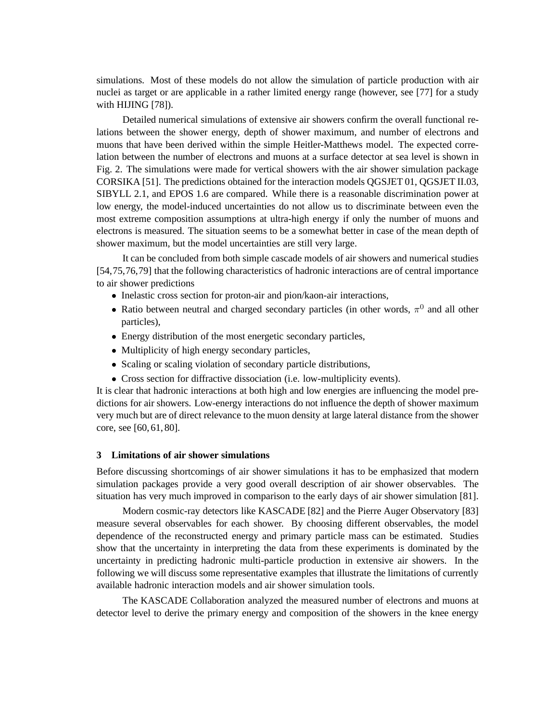simulations. Most of these models do not allow the simulation of particle production with air nuclei as target or are applicable in a rather limited energy range (however, see [77] for a study with HIJING [78]).

Detailed numerical simulations of extensive air showers confirm the overall functional relations between the shower energy, depth of shower maximum, and number of electrons and muons that have been derived within the simple Heitler-Matthews model. The expected correlation between the number of electrons and muons at a surface detector at sea level is shown in Fig. 2. The simulations were made for vertical showers with the air shower simulation package CORSIKA [51]. The predictions obtained for the interaction models QGSJET 01, QGSJET II.03, SIBYLL 2.1, and EPOS 1.6 are compared. While there is a reasonable discrimination power at low energy, the model-induced uncertainties do not allow us to discriminate between even the most extreme composition assumptions at ultra-high energy if only the number of muons and electrons is measured. The situation seems to be a somewhat better in case of the mean depth of shower maximum, but the model uncertainties are still very large.

It can be concluded from both simple cascade models of air showers and numerical studies [54,75,76,79] that the following characteristics of hadronic interactions are of central importance to air shower predictions

- Inelastic cross section for proton-air and pion/kaon-air interactions,
- Ratio between neutral and charged secondary particles (in other words,  $\pi^0$  and all other particles),
- Energy distribution of the most energetic secondary particles,
- Multiplicity of high energy secondary particles,
- Scaling or scaling violation of secondary particle distributions,
- Cross section for diffractive dissociation (i.e. low-multiplicity events).

It is clear that hadronic interactions at both high and low energies are influencing the model predictions for air showers. Low-energy interactions do not influence the depth of shower maximum very much but are of direct relevance to the muon density at large lateral distance from the shower core, see [60, 61, 80].

## **3 Limitations of air shower simulations**

Before discussing shortcomings of air shower simulations it has to be emphasized that modern simulation packages provide a very good overall description of air shower observables. The situation has very much improved in comparison to the early days of air shower simulation [81].

Modern cosmic-ray detectors like KASCADE [82] and the Pierre Auger Observatory [83] measure several observables for each shower. By choosing different observables, the model dependence of the reconstructed energy and primary particle mass can be estimated. Studies show that the uncertainty in interpreting the data from these experiments is dominated by the uncertainty in predicting hadronic multi-particle production in extensive air showers. In the following we will discuss some representative examples that illustrate the limitations of currently available hadronic interaction models and air shower simulation tools.

The KASCADE Collaboration analyzed the measured number of electrons and muons at detector level to derive the primary energy and composition of the showers in the knee energy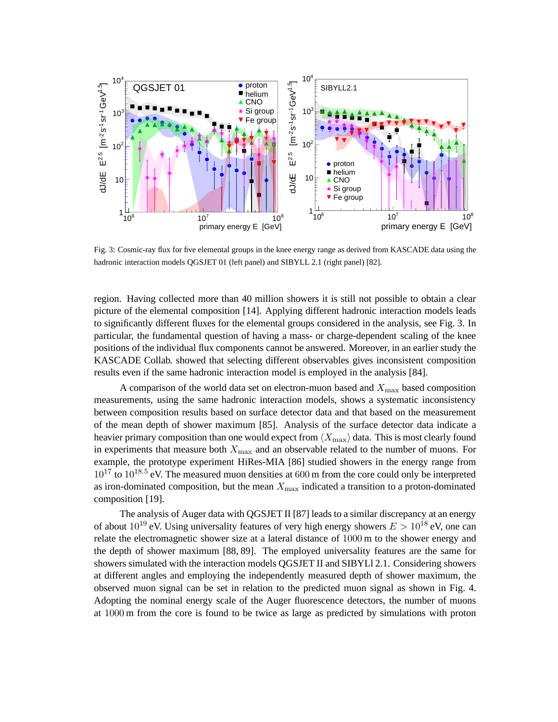

Fig. 3: Cosmic-ray flux for five elemental groups in the knee energy range as derived from KASCADE data using the hadronic interaction models OGSJET 01 (left panel) and SIBYLL 2.1 (right panel) [82].

region. Having collected more than 40 million showers it is still not possible to obtain a clear picture of the elemental composition [14]. Applying different hadronic interaction models leads to significantly different fluxes for the elemental groups considered in the analysis, see Fig. 3. In particular, the fundamental question of having a mass- or charge-dependent scaling of the knee positions of the individual flux components cannot be answered. Moreover, in an earlier study the KASCADE Collab. showed that selecting different observables gives inconsistent composition results even if the same hadronic interaction model is employed in the analysis [84].

A comparison of the world data set on electron-muon based and  $X_{\text{max}}$  based composition measurements, using the same hadronic interaction models, shows a systematic inconsistency between composition results based on surface detector data and that based on the measurement of the mean depth of shower maximum [85]. Analysis of the surface detector data indicate a heavier primary composition than one would expect from  $\langle X_{\text{max}} \rangle$  data. This is most clearly found in experiments that measure both  $X_{\text{max}}$  and an observable related to the number of muons. For example, the prototype experiment HiRes-MIA [86] studied showers in the energy range from  $10^{17}$  to  $10^{18.5}$  eV. The measured muon densities at 600 m from the core could only be interpreted as iron-dominated composition, but the mean  $X_{\text{max}}$  indicated a transition to a proton-dominated composition [19].

The analysis of Auger data with QGSJET II [87] leads to a similar discrepancy at an energy of about  $10^{19}$  eV. Using universality features of very high energy showers  $E > 10^{18}$  eV, one can relate the electromagnetic shower size at a lateral distance of 1000 m to the shower energy and the depth of shower maximum [88, 89]. The employed universality features are the same for showers simulated with the interaction models QGSJET II and SIBYLl 2.1. Considering showers at different angles and employing the independently measured depth of shower maximum, the observed muon signal can be set in relation to the predicted muon signal as shown in Fig. 4. Adopting the nominal energy scale of the Auger fluorescence detectors, the number of muons at 1000 m from the core is found to be twice as large as predicted by simulations with proton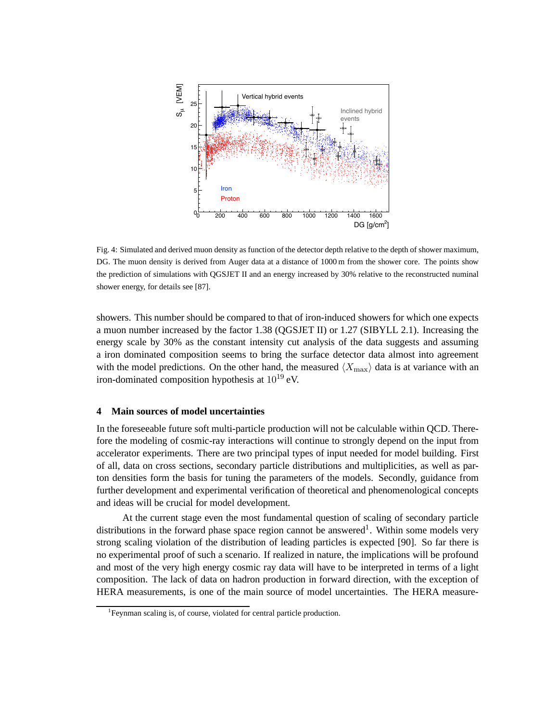

Fig. 4: Simulated and derived muon density as function of the detector depth relative to the depth of shower maximum, DG. The muon density is derived from Auger data at a distance of 1000 m from the shower core. The points show the prediction of simulations with QGSJET II and an energy increased by 30% relative to the reconstructed numinal shower energy, for details see [87].

showers. This number should be compared to that of iron-induced showers for which one expects a muon number increased by the factor 1.38 (QGSJET II) or 1.27 (SIBYLL 2.1). Increasing the energy scale by 30% as the constant intensity cut analysis of the data suggests and assuming a iron dominated composition seems to bring the surface detector data almost into agreement with the model predictions. On the other hand, the measured  $\langle X_{\rm max} \rangle$  data is at variance with an iron-dominated composition hypothesis at  $10^{19}$  eV.

# **4 Main sources of model uncertainties**

In the foreseeable future soft multi-particle production will not be calculable within QCD. Therefore the modeling of cosmic-ray interactions will continue to strongly depend on the input from accelerator experiments. There are two principal types of input needed for model building. First of all, data on cross sections, secondary particle distributions and multiplicities, as well as parton densities form the basis for tuning the parameters of the models. Secondly, guidance from further development and experimental verification of theoretical and phenomenological concepts and ideas will be crucial for model development.

At the current stage even the most fundamental question of scaling of secondary particle distributions in the forward phase space region cannot be answered<sup>1</sup>. Within some models very strong scaling violation of the distribution of leading particles is expected [90]. So far there is no experimental proof of such a scenario. If realized in nature, the implications will be profound and most of the very high energy cosmic ray data will have to be interpreted in terms of a light composition. The lack of data on hadron production in forward direction, with the exception of HERA measurements, is one of the main source of model uncertainties. The HERA measure-

<sup>&</sup>lt;sup>1</sup>Feynman scaling is, of course, violated for central particle production.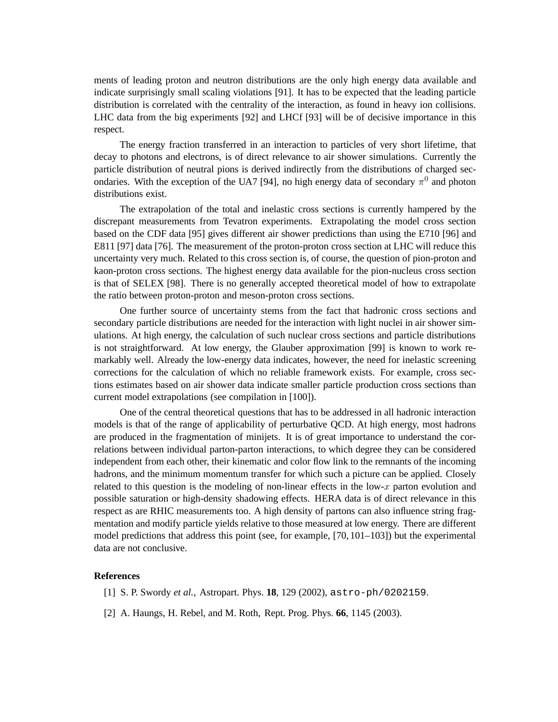ments of leading proton and neutron distributions are the only high energy data available and indicate surprisingly small scaling violations [91]. It has to be expected that the leading particle distribution is correlated with the centrality of the interaction, as found in heavy ion collisions. LHC data from the big experiments [92] and LHCf [93] will be of decisive importance in this respect.

The energy fraction transferred in an interaction to particles of very short lifetime, that decay to photons and electrons, is of direct relevance to air shower simulations. Currently the particle distribution of neutral pions is derived indirectly from the distributions of charged secondaries. With the exception of the UA7 [94], no high energy data of secondary  $\pi^0$  and photon distributions exist.

The extrapolation of the total and inelastic cross sections is currently hampered by the discrepant measurements from Tevatron experiments. Extrapolating the model cross section based on the CDF data [95] gives different air shower predictions than using the E710 [96] and E811 [97] data [76]. The measurement of the proton-proton cross section at LHC will reduce this uncertainty very much. Related to this cross section is, of course, the question of pion-proton and kaon-proton cross sections. The highest energy data available for the pion-nucleus cross section is that of SELEX [98]. There is no generally accepted theoretical model of how to extrapolate the ratio between proton-proton and meson-proton cross sections.

One further source of uncertainty stems from the fact that hadronic cross sections and secondary particle distributions are needed for the interaction with light nuclei in air shower simulations. At high energy, the calculation of such nuclear cross sections and particle distributions is not straightforward. At low energy, the Glauber approximation [99] is known to work remarkably well. Already the low-energy data indicates, however, the need for inelastic screening corrections for the calculation of which no reliable framework exists. For example, cross sections estimates based on air shower data indicate smaller particle production cross sections than current model extrapolations (see compilation in [100]).

One of the central theoretical questions that has to be addressed in all hadronic interaction models is that of the range of applicability of perturbative QCD. At high energy, most hadrons are produced in the fragmentation of minijets. It is of great importance to understand the correlations between individual parton-parton interactions, to which degree they can be considered independent from each other, their kinematic and color flow link to the remnants of the incoming hadrons, and the minimum momentum transfer for which such a picture can be applied. Closely related to this question is the modeling of non-linear effects in the low- $x$  parton evolution and possible saturation or high-density shadowing effects. HERA data is of direct relevance in this respect as are RHIC measurements too. A high density of partons can also influence string fragmentation and modify particle yields relative to those measured at low energy. There are different model predictions that address this point (see, for example, [70, 101–103]) but the experimental data are not conclusive.

## **References**

- [1] S. P. Swordy *et al.*, Astropart. Phys. **18**, 129 (2002), astro-ph/0202159.
- [2] A. Haungs, H. Rebel, and M. Roth, Rept. Prog. Phys. **66**, 1145 (2003).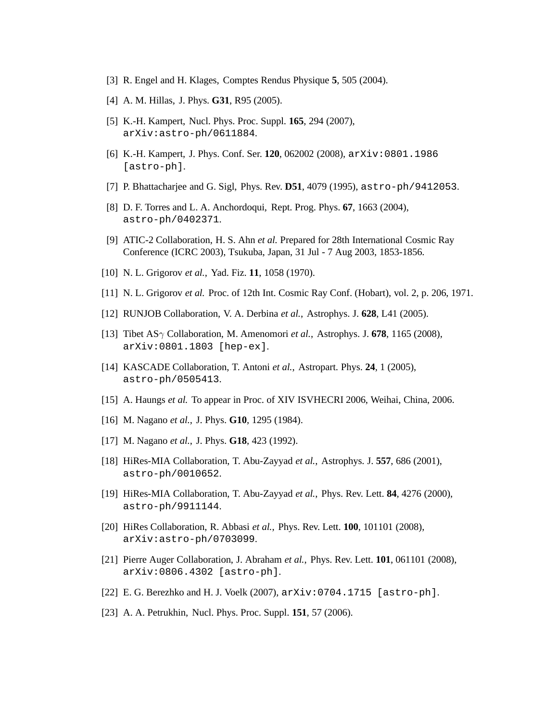- [3] R. Engel and H. Klages, Comptes Rendus Physique **5**, 505 (2004).
- [4] A. M. Hillas, J. Phys. **G31**, R95 (2005).
- [5] K.-H. Kampert, Nucl. Phys. Proc. Suppl. **165**, 294 (2007), arXiv:astro-ph/0611884.
- [6] K.-H. Kampert, J. Phys. Conf. Ser. **120**, 062002 (2008), arXiv:0801.1986 [astro-ph].
- [7] P. Bhattacharjee and G. Sigl, Phys. Rev. **D51**, 4079 (1995), astro-ph/9412053.
- [8] D. F. Torres and L. A. Anchordoqui, Rept. Prog. Phys. **67**, 1663 (2004), astro-ph/0402371.
- [9] ATIC-2 Collaboration, H. S. Ahn *et al.* Prepared for 28th International Cosmic Ray Conference (ICRC 2003), Tsukuba, Japan, 31 Jul - 7 Aug 2003, 1853-1856.
- [10] N. L. Grigorov *et al.*, Yad. Fiz. **11**, 1058 (1970).
- [11] N. L. Grigorov *et al.* Proc. of 12th Int. Cosmic Ray Conf. (Hobart), vol. 2, p. 206, 1971.
- [12] RUNJOB Collaboration, V. A. Derbina *et al.*, Astrophys. J. **628**, L41 (2005).
- [13] Tibet ASγ Collaboration, M. Amenomori *et al.*, Astrophys. J. **678**, 1165 (2008), arXiv:0801.1803 [hep-ex].
- [14] KASCADE Collaboration, T. Antoni *et al.*, Astropart. Phys. **24**, 1 (2005), astro-ph/0505413.
- [15] A. Haungs *et al.* To appear in Proc. of XIV ISVHECRI 2006, Weihai, China, 2006.
- [16] M. Nagano *et al.*, J. Phys. **G10**, 1295 (1984).
- [17] M. Nagano *et al.*, J. Phys. **G18**, 423 (1992).
- [18] HiRes-MIA Collaboration, T. Abu-Zayyad *et al.*, Astrophys. J. **557**, 686 (2001), astro-ph/0010652.
- [19] HiRes-MIA Collaboration, T. Abu-Zayyad *et al.*, Phys. Rev. Lett. **84**, 4276 (2000), astro-ph/9911144.
- [20] HiRes Collaboration, R. Abbasi *et al.*, Phys. Rev. Lett. **100**, 101101 (2008), arXiv:astro-ph/0703099.
- [21] Pierre Auger Collaboration, J. Abraham *et al.*, Phys. Rev. Lett. **101**, 061101 (2008), arXiv:0806.4302 [astro-ph].
- [22] E. G. Berezhko and H. J. Voelk (2007), arXiv:0704.1715 [astro-ph].
- [23] A. A. Petrukhin, Nucl. Phys. Proc. Suppl. **151**, 57 (2006).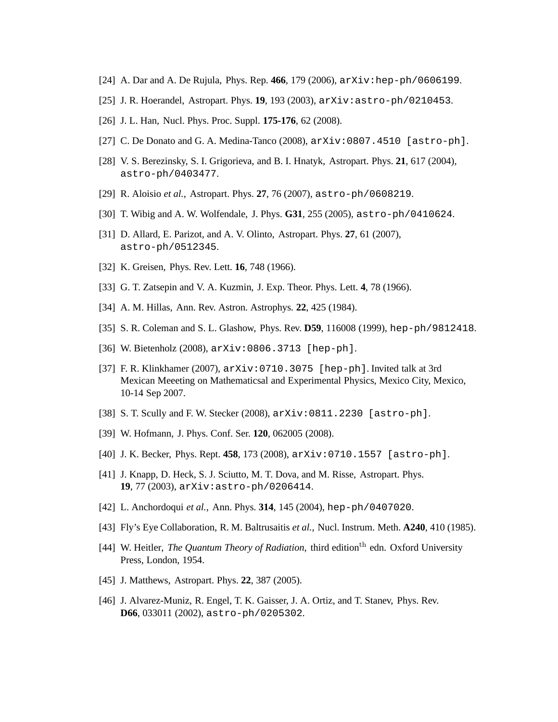- [24] A. Dar and A. De Rujula, Phys. Rep. **466**, 179 (2006), arXiv:hep-ph/0606199.
- [25] J. R. Hoerandel, Astropart. Phys. **19**, 193 (2003), arXiv:astro-ph/0210453.
- [26] J. L. Han, Nucl. Phys. Proc. Suppl. **175-176**, 62 (2008).
- [27] C. De Donato and G. A. Medina-Tanco (2008), arXiv:0807.4510 [astro-ph].
- [28] V. S. Berezinsky, S. I. Grigorieva, and B. I. Hnatyk, Astropart. Phys. **21**, 617 (2004), astro-ph/0403477.
- [29] R. Aloisio *et al.*, Astropart. Phys. **27**, 76 (2007), astro-ph/0608219.
- [30] T. Wibig and A. W. Wolfendale, J. Phys. **G31**, 255 (2005), astro-ph/0410624.
- [31] D. Allard, E. Parizot, and A. V. Olinto, Astropart. Phys. **27**, 61 (2007), astro-ph/0512345.
- [32] K. Greisen, Phys. Rev. Lett. **16**, 748 (1966).
- [33] G. T. Zatsepin and V. A. Kuzmin, J. Exp. Theor. Phys. Lett. **4**, 78 (1966).
- [34] A. M. Hillas, Ann. Rev. Astron. Astrophys. **22**, 425 (1984).
- [35] S. R. Coleman and S. L. Glashow, Phys. Rev. **D59**, 116008 (1999), hep-ph/9812418.
- [36] W. Bietenholz (2008), arXiv:0806.3713 [hep-ph].
- [37] F. R. Klinkhamer (2007), arXiv:0710.3075 [hep-ph]. Invited talk at 3rd Mexican Meeeting on Mathematicsal and Experimental Physics, Mexico City, Mexico, 10-14 Sep 2007.
- [38] S. T. Scully and F. W. Stecker (2008), arXiv:0811.2230 [astro-ph].
- [39] W. Hofmann, J. Phys. Conf. Ser. **120**, 062005 (2008).
- [40] J. K. Becker, Phys. Rept. **458**, 173 (2008), arXiv:0710.1557 [astro-ph].
- [41] J. Knapp, D. Heck, S. J. Sciutto, M. T. Dova, and M. Risse, Astropart. Phys. **19**, 77 (2003), arXiv:astro-ph/0206414.
- [42] L. Anchordoqui *et al.*, Ann. Phys. **314**, 145 (2004), hep-ph/0407020.
- [43] Fly's Eye Collaboration, R. M. Baltrusaitis *et al.*, Nucl. Instrum. Meth. **A240**, 410 (1985).
- [44] W. Heitler, *The Quantum Theory of Radiation*, third edition<sup>th</sup> edn. Oxford University Press, London, 1954.
- [45] J. Matthews, Astropart. Phys. **22**, 387 (2005).
- [46] J. Alvarez-Muniz, R. Engel, T. K. Gaisser, J. A. Ortiz, and T. Stanev, Phys. Rev. **D66**, 033011 (2002), astro-ph/0205302.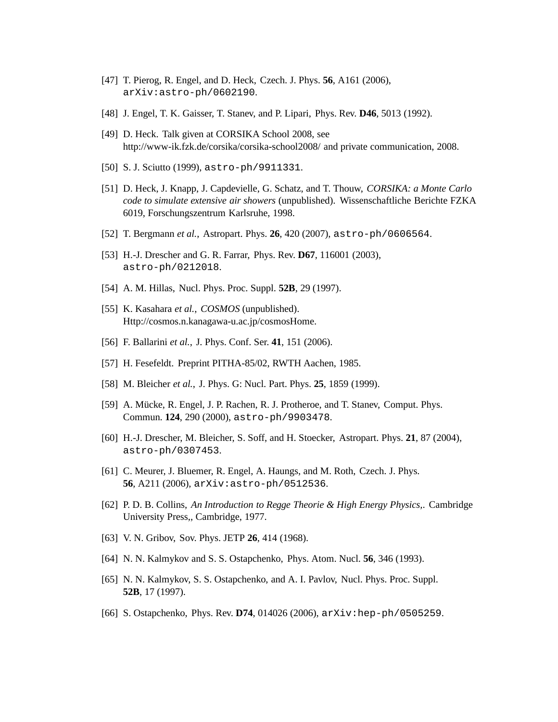- [47] T. Pierog, R. Engel, and D. Heck, Czech. J. Phys. **56**, A161 (2006), arXiv:astro-ph/0602190.
- [48] J. Engel, T. K. Gaisser, T. Stanev, and P. Lipari, Phys. Rev. **D46**, 5013 (1992).
- [49] D. Heck. Talk given at CORSIKA School 2008, see http://www-ik.fzk.de/corsika/corsika-school2008/ and private communication, 2008.
- [50] S. J. Sciutto (1999), astro-ph/9911331.
- [51] D. Heck, J. Knapp, J. Capdevielle, G. Schatz, and T. Thouw, *CORSIKA: a Monte Carlo code to simulate extensive air showers* (unpublished). Wissenschaftliche Berichte FZKA 6019, Forschungszentrum Karlsruhe, 1998.
- [52] T. Bergmann *et al.*, Astropart. Phys. **26**, 420 (2007), astro-ph/0606564.
- [53] H.-J. Drescher and G. R. Farrar, Phys. Rev. **D67**, 116001 (2003), astro-ph/0212018.
- [54] A. M. Hillas, Nucl. Phys. Proc. Suppl. **52B**, 29 (1997).
- [55] K. Kasahara *et al.*, *COSMOS* (unpublished). Http://cosmos.n.kanagawa-u.ac.jp/cosmosHome.
- [56] F. Ballarini *et al.*, J. Phys. Conf. Ser. **41**, 151 (2006).
- [57] H. Fesefeldt. Preprint PITHA-85/02, RWTH Aachen, 1985.
- [58] M. Bleicher *et al.*, J. Phys. G: Nucl. Part. Phys. **25**, 1859 (1999).
- [59] A. Mücke, R. Engel, J. P. Rachen, R. J. Protheroe, and T. Stanev, Comput. Phys. Commun. **124**, 290 (2000), astro-ph/9903478.
- [60] H.-J. Drescher, M. Bleicher, S. Soff, and H. Stoecker, Astropart. Phys. **21**, 87 (2004), astro-ph/0307453.
- [61] C. Meurer, J. Bluemer, R. Engel, A. Haungs, and M. Roth, Czech. J. Phys. **56**, A211 (2006), arXiv:astro-ph/0512536.
- [62] P. D. B. Collins, *An Introduction to Regge Theorie & High Energy Physics,*. Cambridge University Press,, Cambridge, 1977.
- [63] V. N. Gribov, Sov. Phys. JETP **26**, 414 (1968).
- [64] N. N. Kalmykov and S. S. Ostapchenko, Phys. Atom. Nucl. **56**, 346 (1993).
- [65] N. N. Kalmykov, S. S. Ostapchenko, and A. I. Pavlov, Nucl. Phys. Proc. Suppl. **52B**, 17 (1997).
- [66] S. Ostapchenko, Phys. Rev. **D74**, 014026 (2006), arXiv:hep-ph/0505259.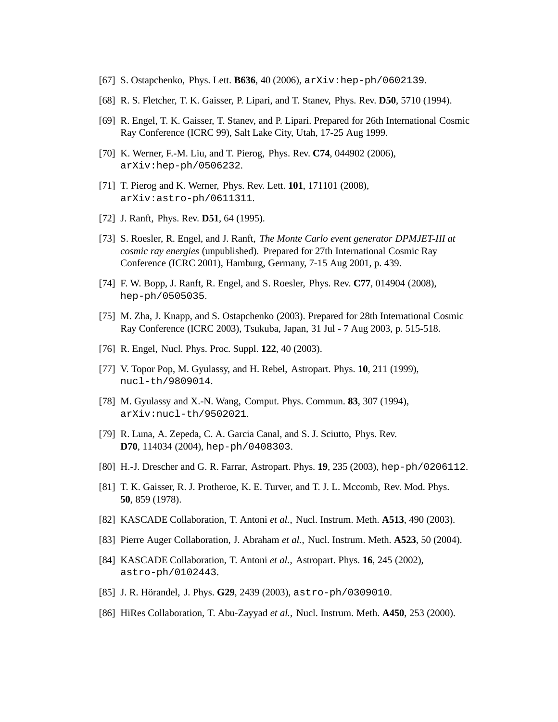- [67] S. Ostapchenko, Phys. Lett. **B636**, 40 (2006), arXiv:hep-ph/0602139.
- [68] R. S. Fletcher, T. K. Gaisser, P. Lipari, and T. Stanev, Phys. Rev. **D50**, 5710 (1994).
- [69] R. Engel, T. K. Gaisser, T. Stanev, and P. Lipari. Prepared for 26th International Cosmic Ray Conference (ICRC 99), Salt Lake City, Utah, 17-25 Aug 1999.
- [70] K. Werner, F.-M. Liu, and T. Pierog, Phys. Rev. **C74**, 044902 (2006), arXiv:hep-ph/0506232.
- [71] T. Pierog and K. Werner, Phys. Rev. Lett. **101**, 171101 (2008), arXiv:astro-ph/0611311.
- [72] J. Ranft, Phys. Rev. **D51**, 64 (1995).
- [73] S. Roesler, R. Engel, and J. Ranft, *The Monte Carlo event generator DPMJET-III at cosmic ray energies* (unpublished). Prepared for 27th International Cosmic Ray Conference (ICRC 2001), Hamburg, Germany, 7-15 Aug 2001, p. 439.
- [74] F. W. Bopp, J. Ranft, R. Engel, and S. Roesler, Phys. Rev. **C77**, 014904 (2008), hep-ph/0505035.
- [75] M. Zha, J. Knapp, and S. Ostapchenko (2003). Prepared for 28th International Cosmic Ray Conference (ICRC 2003), Tsukuba, Japan, 31 Jul - 7 Aug 2003, p. 515-518.
- [76] R. Engel, Nucl. Phys. Proc. Suppl. **122**, 40 (2003).
- [77] V. Topor Pop, M. Gyulassy, and H. Rebel, Astropart. Phys. **10**, 211 (1999), nucl-th/9809014.
- [78] M. Gyulassy and X.-N. Wang, Comput. Phys. Commun. **83**, 307 (1994), arXiv:nucl-th/9502021.
- [79] R. Luna, A. Zepeda, C. A. Garcia Canal, and S. J. Sciutto, Phys. Rev. **D70**, 114034 (2004), hep-ph/0408303.
- [80] H.-J. Drescher and G. R. Farrar, Astropart. Phys. **19**, 235 (2003), hep-ph/0206112.
- [81] T. K. Gaisser, R. J. Protheroe, K. E. Turver, and T. J. L. Mccomb, Rev. Mod. Phys. **50**, 859 (1978).
- [82] KASCADE Collaboration, T. Antoni *et al.*, Nucl. Instrum. Meth. **A513**, 490 (2003).
- [83] Pierre Auger Collaboration, J. Abraham *et al.*, Nucl. Instrum. Meth. **A523**, 50 (2004).
- [84] KASCADE Collaboration, T. Antoni *et al.*, Astropart. Phys. **16**, 245 (2002), astro-ph/0102443.
- [85] J. R. Hörandel, J. Phys. **G29**, 2439 (2003), astro-ph/0309010.
- [86] HiRes Collaboration, T. Abu-Zayyad *et al.*, Nucl. Instrum. Meth. **A450**, 253 (2000).